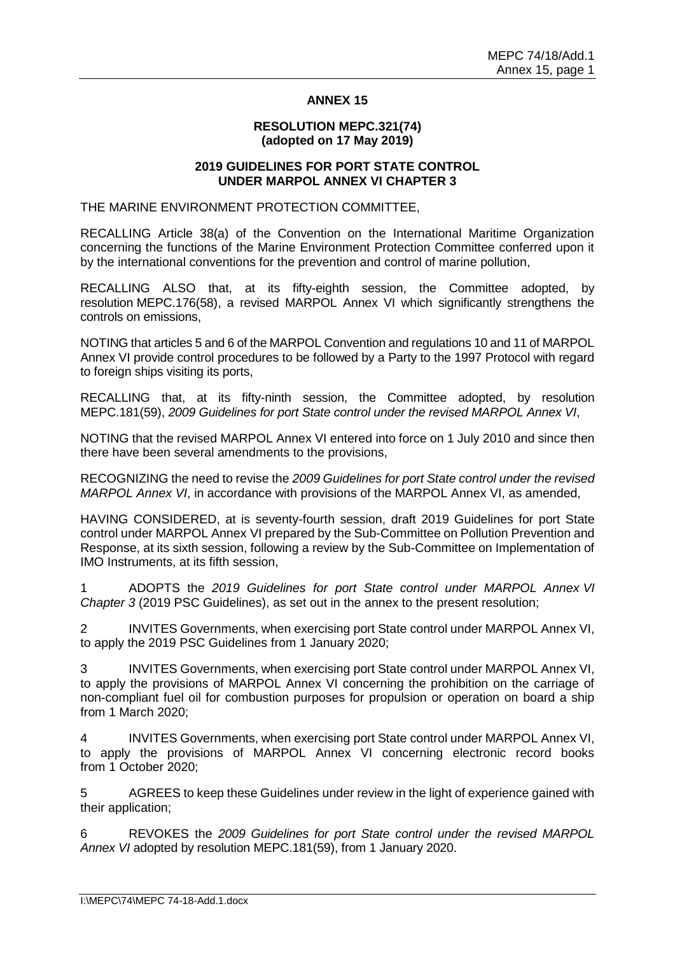## **ANNEX 15**

### **RESOLUTION MEPC.321(74) (adopted on 17 May 2019)**

#### **2019 GUIDELINES FOR PORT STATE CONTROL UNDER MARPOL ANNEX VI CHAPTER 3**

THE MARINE ENVIRONMENT PROTECTION COMMITTEE,

RECALLING Article 38(a) of the Convention on the International Maritime Organization concerning the functions of the Marine Environment Protection Committee conferred upon it by the international conventions for the prevention and control of marine pollution,

RECALLING ALSO that, at its fifty-eighth session, the Committee adopted, by resolution MEPC.176(58), a revised MARPOL Annex VI which significantly strengthens the controls on emissions,

NOTING that articles 5 and 6 of the MARPOL Convention and regulations 10 and 11 of MARPOL Annex VI provide control procedures to be followed by a Party to the 1997 Protocol with regard to foreign ships visiting its ports,

RECALLING that, at its fifty-ninth session, the Committee adopted, by resolution MEPC.181(59), *2009 Guidelines for port State control under the revised MARPOL Annex VI*,

NOTING that the revised MARPOL Annex VI entered into force on 1 July 2010 and since then there have been several amendments to the provisions,

RECOGNIZING the need to revise the *2009 Guidelines for port State control under the revised MARPOL Annex VI*, in accordance with provisions of the MARPOL Annex VI, as amended,

HAVING CONSIDERED, at is seventy-fourth session, draft 2019 Guidelines for port State control under MARPOL Annex VI prepared by the Sub-Committee on Pollution Prevention and Response, at its sixth session, following a review by the Sub-Committee on Implementation of IMO Instruments, at its fifth session,

1 ADOPTS the *2019 Guidelines for port State control under MARPOL Annex VI Chapter 3* (2019 PSC Guidelines), as set out in the annex to the present resolution;

2 INVITES Governments, when exercising port State control under MARPOL Annex VI, to apply the 2019 PSC Guidelines from 1 January 2020;

3 INVITES Governments, when exercising port State control under MARPOL Annex VI, to apply the provisions of MARPOL Annex VI concerning the prohibition on the carriage of non-compliant fuel oil for combustion purposes for propulsion or operation on board a ship from 1 March 2020;

4 INVITES Governments, when exercising port State control under MARPOL Annex VI, to apply the provisions of MARPOL Annex VI concerning electronic record books from 1 October 2020;

5 AGREES to keep these Guidelines under review in the light of experience gained with their application;

6 REVOKES the *2009 Guidelines for port State control under the revised MARPOL Annex VI* adopted by resolution MEPC.181(59), from 1 January 2020.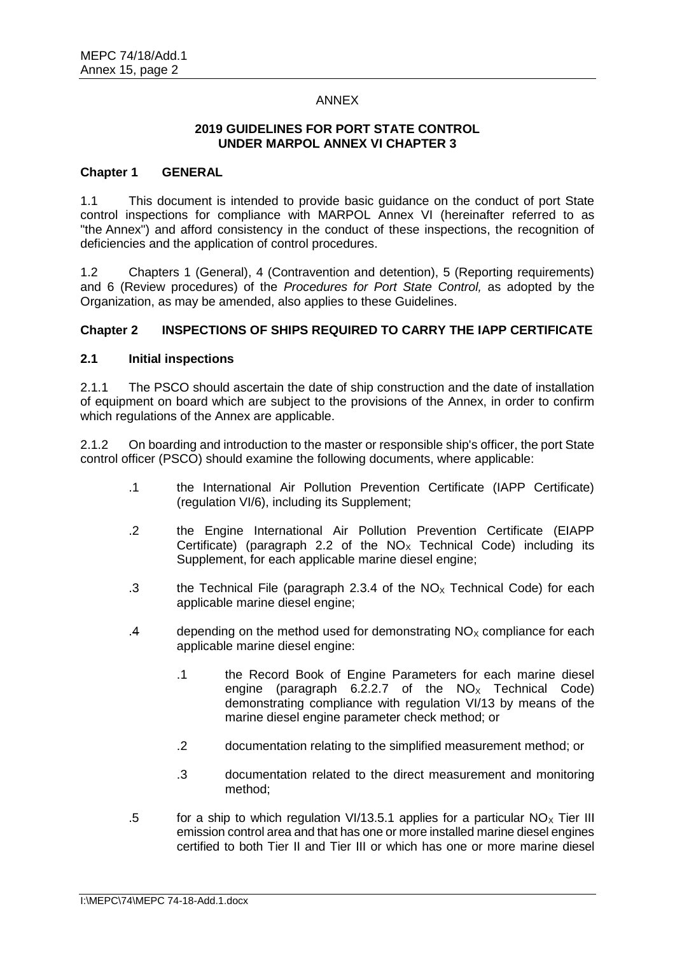## ANNEX

### **2019 GUIDELINES FOR PORT STATE CONTROL UNDER MARPOL ANNEX VI CHAPTER 3**

## **Chapter 1 GENERAL**

1.1 This document is intended to provide basic guidance on the conduct of port State control inspections for compliance with MARPOL Annex VI (hereinafter referred to as "the Annex") and afford consistency in the conduct of these inspections, the recognition of deficiencies and the application of control procedures.

1.2 Chapters 1 (General), 4 (Contravention and detention), 5 (Reporting requirements) and 6 (Review procedures) of the *Procedures for Port State Control,* as adopted by the Organization, as may be amended, also applies to these Guidelines.

## **Chapter 2 INSPECTIONS OF SHIPS REQUIRED TO CARRY THE IAPP CERTIFICATE**

## **2.1 Initial inspections**

2.1.1 The PSCO should ascertain the date of ship construction and the date of installation of equipment on board which are subject to the provisions of the Annex, in order to confirm which regulations of the Annex are applicable.

2.1.2 On boarding and introduction to the master or responsible ship's officer, the port State control officer (PSCO) should examine the following documents, where applicable:

- .1 the International Air Pollution Prevention Certificate (IAPP Certificate) (regulation VI/6), including its Supplement;
- .2 the Engine International Air Pollution Prevention Certificate (EIAPP Certificate) (paragraph 2.2 of the  $NO<sub>x</sub>$  Technical Code) including its Supplement, for each applicable marine diesel engine;
- .3 the Technical File (paragraph 2.3.4 of the  $NO<sub>x</sub>$  Technical Code) for each applicable marine diesel engine;
- .4 depending on the method used for demonstrating  $NO<sub>x</sub>$  compliance for each applicable marine diesel engine:
	- .1 the Record Book of Engine Parameters for each marine diesel engine (paragraph  $6.2.2.7$  of the  $NO<sub>x</sub>$  Technical Code) demonstrating compliance with regulation VI/13 by means of the marine diesel engine parameter check method; or
	- .2 documentation relating to the simplified measurement method; or
	- .3 documentation related to the direct measurement and monitoring method;
- .5 for a ship to which regulation VI/13.5.1 applies for a particular  $NO_\chi$  Tier III emission control area and that has one or more installed marine diesel engines certified to both Tier II and Tier III or which has one or more marine diesel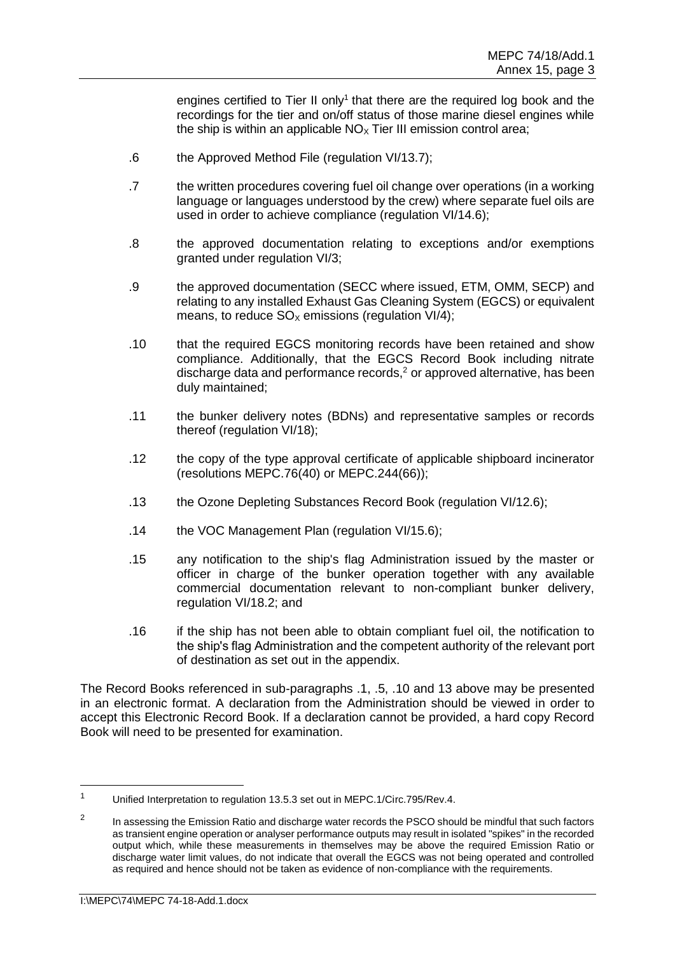engines certified to Tier II only<sup>1</sup> that there are the required log book and the recordings for the tier and on/off status of those marine diesel engines while the ship is within an applicable  $NO<sub>x</sub>$  Tier III emission control area;

- .6 the Approved Method File (regulation VI/13.7);
- .7 the written procedures covering fuel oil change over operations (in a working language or languages understood by the crew) where separate fuel oils are used in order to achieve compliance (regulation VI/14.6);
- .8 the approved documentation relating to exceptions and/or exemptions granted under regulation VI/3;
- .9 the approved documentation (SECC where issued, ETM, OMM, SECP) and relating to any installed Exhaust Gas Cleaning System (EGCS) or equivalent means, to reduce  $SO<sub>X</sub>$  emissions (regulation VI/4);
- .10 that the required EGCS monitoring records have been retained and show compliance. Additionally, that the EGCS Record Book including nitrate discharge data and performance records, $<sup>2</sup>$  or approved alternative, has been</sup> duly maintained;
- .11 the bunker delivery notes (BDNs) and representative samples or records thereof (regulation VI/18);
- .12 the copy of the type approval certificate of applicable shipboard incinerator (resolutions MEPC.76(40) or MEPC.244(66));
- .13 the Ozone Depleting Substances Record Book (regulation VI/12.6);
- .14 the VOC Management Plan (regulation VI/15.6);
- .15 any notification to the ship's flag Administration issued by the master or officer in charge of the bunker operation together with any available commercial documentation relevant to non-compliant bunker delivery, regulation VI/18.2; and
- .16 if the ship has not been able to obtain compliant fuel oil, the notification to the shipʹs flag Administration and the competent authority of the relevant port of destination as set out in the appendix.

The Record Books referenced in sub-paragraphs .1, .5, .10 and 13 above may be presented in an electronic format. A declaration from the Administration should be viewed in order to accept this Electronic Record Book. If a declaration cannot be provided, a hard copy Record Book will need to be presented for examination.

 $\overline{a}$ 

<sup>1</sup> Unified Interpretation to regulation 13.5.3 set out in MEPC.1/Circ.795/Rev.4.

 $\overline{2}$ In assessing the Emission Ratio and discharge water records the PSCO should be mindful that such factors as transient engine operation or analyser performance outputs may result in isolated "spikes" in the recorded output which, while these measurements in themselves may be above the required Emission Ratio or discharge water limit values, do not indicate that overall the EGCS was not being operated and controlled as required and hence should not be taken as evidence of non-compliance with the requirements.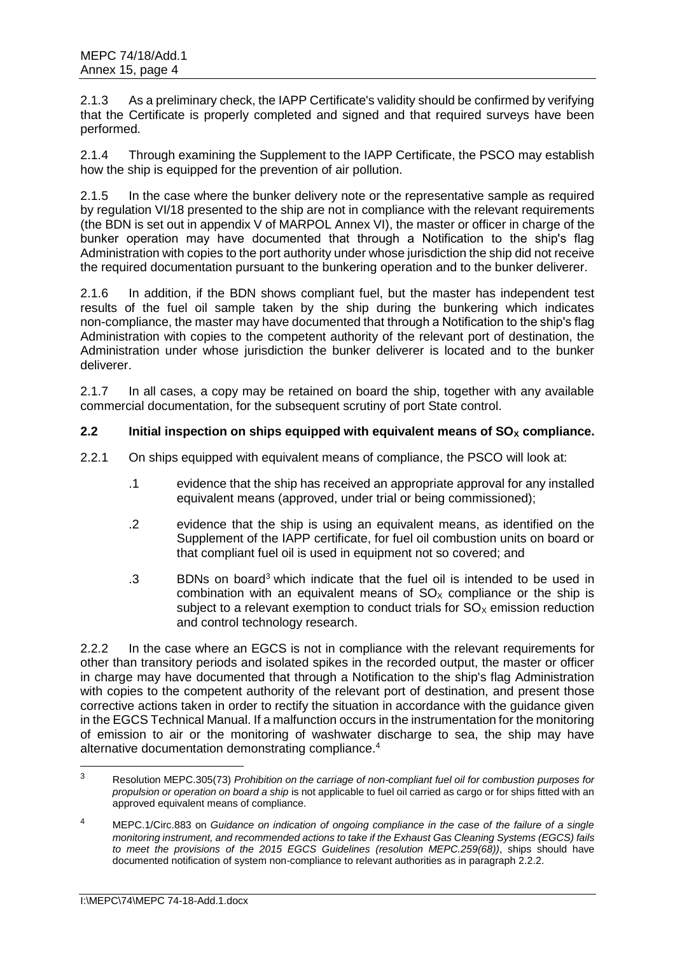2.1.3 As a preliminary check, the IAPP Certificate's validity should be confirmed by verifying that the Certificate is properly completed and signed and that required surveys have been performed.

2.1.4 Through examining the Supplement to the IAPP Certificate, the PSCO may establish how the ship is equipped for the prevention of air pollution.

2.1.5 In the case where the bunker delivery note or the representative sample as required by regulation VI/18 presented to the ship are not in compliance with the relevant requirements (the BDN is set out in appendix V of MARPOL Annex VI), the master or officer in charge of the bunker operation may have documented that through a Notification to the shipʹs flag Administration with copies to the port authority under whose jurisdiction the ship did not receive the required documentation pursuant to the bunkering operation and to the bunker deliverer.

2.1.6 In addition, if the BDN shows compliant fuel, but the master has independent test results of the fuel oil sample taken by the ship during the bunkering which indicates non-compliance, the master may have documented that through a Notification to the ship's flag Administration with copies to the competent authority of the relevant port of destination, the Administration under whose jurisdiction the bunker deliverer is located and to the bunker deliverer.

2.1.7 In all cases, a copy may be retained on board the ship, together with any available commercial documentation, for the subsequent scrutiny of port State control.

# **2.2** Initial inspection on ships equipped with equivalent means of  $SO_\chi$  compliance.

- 2.2.1 On ships equipped with equivalent means of compliance, the PSCO will look at:
	- .1 evidence that the ship has received an appropriate approval for any installed equivalent means (approved, under trial or being commissioned);
	- .2 evidence that the ship is using an equivalent means, as identified on the Supplement of the IAPP certificate, for fuel oil combustion units on board or that compliant fuel oil is used in equipment not so covered; and
	- .3 BDNs on board<sup>3</sup> which indicate that the fuel oil is intended to be used in combination with an equivalent means of  $SO<sub>x</sub>$  compliance or the ship is subject to a relevant exemption to conduct trials for  $SO<sub>X</sub>$  emission reduction and control technology research.

2.2.2 In the case where an EGCS is not in compliance with the relevant requirements for other than transitory periods and isolated spikes in the recorded output, the master or officer in charge may have documented that through a Notification to the ship's flag Administration with copies to the competent authority of the relevant port of destination, and present those corrective actions taken in order to rectify the situation in accordance with the guidance given in the EGCS Technical Manual. If a malfunction occurs in the instrumentation for the monitoring of emission to air or the monitoring of washwater discharge to sea, the ship may have alternative documentation demonstrating compliance.<sup>4</sup>

 $\overline{3}$ <sup>3</sup> Resolution MEPC.305(73) *Prohibition on the carriage of non-compliant fuel oil for combustion purposes for propulsion or operation on board a ship* is not applicable to fuel oil carried as cargo or for ships fitted with an approved equivalent means of compliance.

<sup>4</sup> MEPC.1/Circ.883 on *Guidance on indication of ongoing compliance in the case of the failure of a single monitoring instrument, and recommended actions to take if the Exhaust Gas Cleaning Systems (EGCS) fails to meet the provisions of the 2015 EGCS Guidelines (resolution MEPC.259(68))*, ships should have documented notification of system non-compliance to relevant authorities as in paragraph 2.2.2.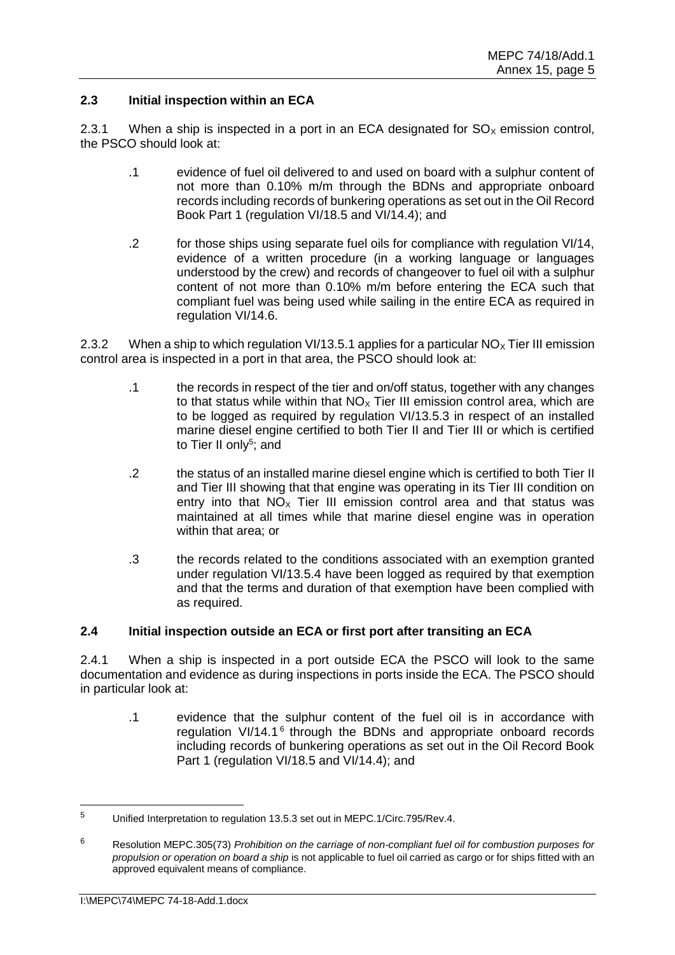## **2.3 Initial inspection within an ECA**

2.3.1 When a ship is inspected in a port in an ECA designated for  $SO_\chi$  emission control, the PSCO should look at:

- .1 evidence of fuel oil delivered to and used on board with a sulphur content of not more than 0.10% m/m through the BDNs and appropriate onboard records including records of bunkering operations as set out in the Oil Record Book Part 1 (regulation VI/18.5 and VI/14.4); and
- .2 for those ships using separate fuel oils for compliance with regulation VI/14, evidence of a written procedure (in a working language or languages understood by the crew) and records of changeover to fuel oil with a sulphur content of not more than 0.10% m/m before entering the ECA such that compliant fuel was being used while sailing in the entire ECA as required in regulation VI/14.6.

2.3.2 When a ship to which regulation VI/13.5.1 applies for a particular  $NO_\chi$  Tier III emission control area is inspected in a port in that area, the PSCO should look at:

- .1 the records in respect of the tier and on/off status, together with any changes to that status while within that  $NO<sub>x</sub>$  Tier III emission control area, which are to be logged as required by regulation VI/13.5.3 in respect of an installed marine diesel engine certified to both Tier II and Tier III or which is certified to Tier II only<sup>5</sup>; and
- .2 the status of an installed marine diesel engine which is certified to both Tier II and Tier III showing that that engine was operating in its Tier III condition on entry into that  $N_{\text{O}_X}$  Tier III emission control area and that status was maintained at all times while that marine diesel engine was in operation within that area; or
- .3 the records related to the conditions associated with an exemption granted under regulation VI/13.5.4 have been logged as required by that exemption and that the terms and duration of that exemption have been complied with as required.

## **2.4 Initial inspection outside an ECA or first port after transiting an ECA**

2.4.1 When a ship is inspected in a port outside ECA the PSCO will look to the same documentation and evidence as during inspections in ports inside the ECA. The PSCO should in particular look at:

.1 evidence that the sulphur content of the fuel oil is in accordance with regulation VI/14.1<sup>6</sup> through the BDNs and appropriate onboard records including records of bunkering operations as set out in the Oil Record Book Part 1 (regulation VI/18.5 and VI/14.4); and

 $\overline{a}$ 

<sup>5</sup> Unified Interpretation to regulation 13.5.3 set out in MEPC.1/Circ.795/Rev.4.

<sup>6</sup> Resolution MEPC.305(73) *Prohibition on the carriage of non-compliant fuel oil for combustion purposes for propulsion or operation on board a ship* is not applicable to fuel oil carried as cargo or for ships fitted with an approved equivalent means of compliance.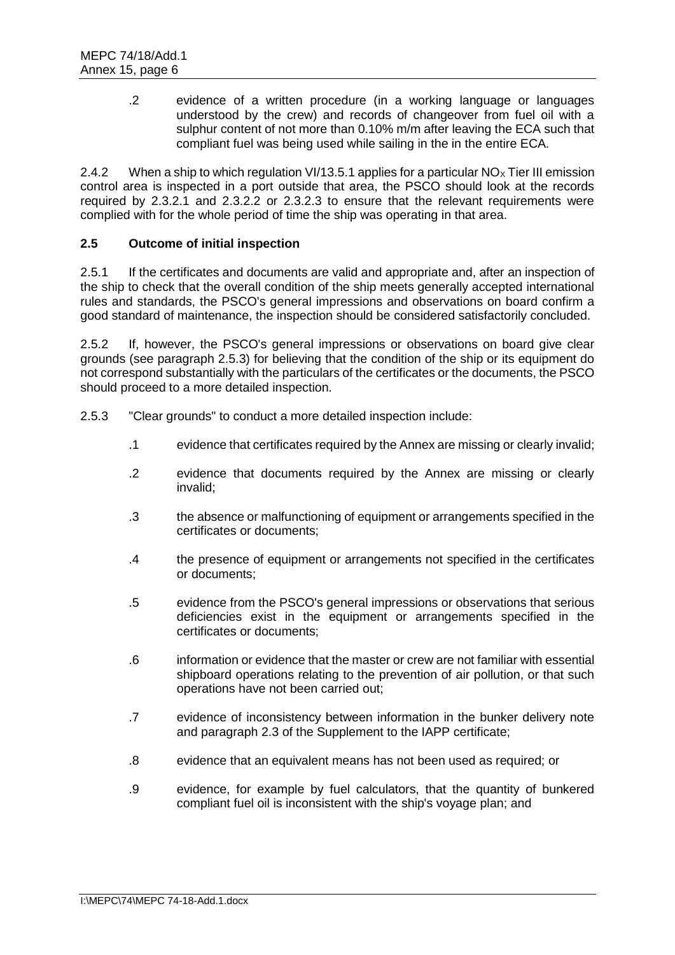.2 evidence of a written procedure (in a working language or languages understood by the crew) and records of changeover from fuel oil with a sulphur content of not more than 0.10% m/m after leaving the ECA such that compliant fuel was being used while sailing in the in the entire ECA.

2.4.2 When a ship to which regulation VI/13.5.1 applies for a particular  $NO_x$  Tier III emission control area is inspected in a port outside that area, the PSCO should look at the records required by 2.3.2.1 and 2.3.2.2 or 2.3.2.3 to ensure that the relevant requirements were complied with for the whole period of time the ship was operating in that area.

# **2.5 Outcome of initial inspection**

2.5.1 If the certificates and documents are valid and appropriate and, after an inspection of the ship to check that the overall condition of the ship meets generally accepted international rules and standards, the PSCO's general impressions and observations on board confirm a good standard of maintenance, the inspection should be considered satisfactorily concluded.

2.5.2 If, however, the PSCO's general impressions or observations on board give clear grounds (see paragraph 2.5.3) for believing that the condition of the ship or its equipment do not correspond substantially with the particulars of the certificates or the documents, the PSCO should proceed to a more detailed inspection.

- 2.5.3 "Clear grounds" to conduct a more detailed inspection include:
	- .1 evidence that certificates required by the Annex are missing or clearly invalid;
	- .2 evidence that documents required by the Annex are missing or clearly invalid;
	- .3 the absence or malfunctioning of equipment or arrangements specified in the certificates or documents;
	- .4 the presence of equipment or arrangements not specified in the certificates or documents;
	- .5 evidence from the PSCO's general impressions or observations that serious deficiencies exist in the equipment or arrangements specified in the certificates or documents;
	- .6 information or evidence that the master or crew are not familiar with essential shipboard operations relating to the prevention of air pollution, or that such operations have not been carried out;
	- .7 evidence of inconsistency between information in the bunker delivery note and paragraph 2.3 of the Supplement to the IAPP certificate;
	- .8 evidence that an equivalent means has not been used as required; or
	- .9 evidence, for example by fuel calculators, that the quantity of bunkered compliant fuel oil is inconsistent with the ship's voyage plan; and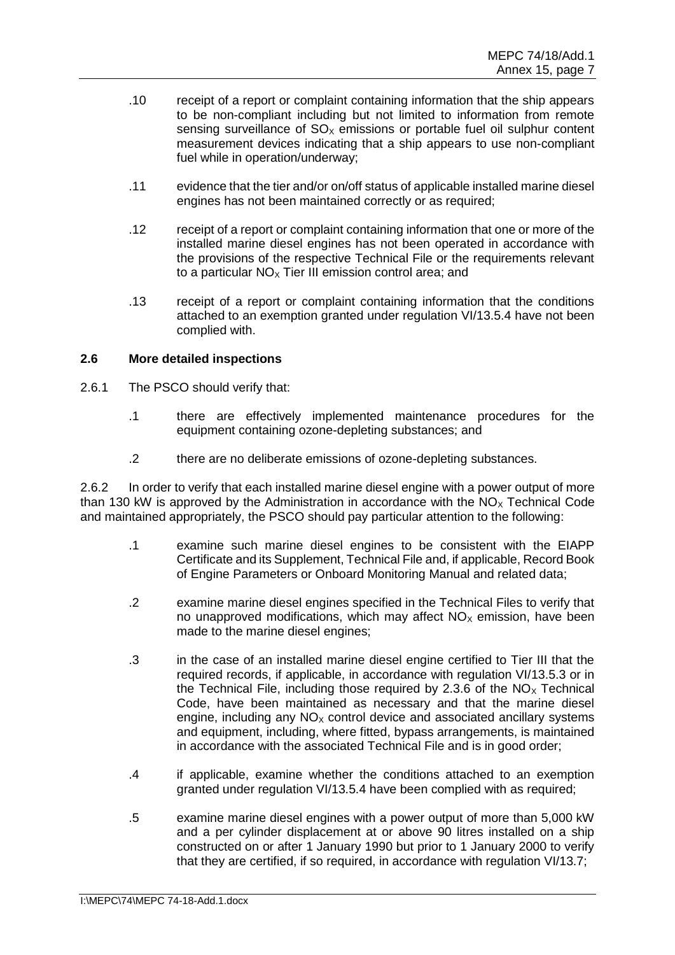- .10 receipt of a report or complaint containing information that the ship appears to be non-compliant including but not limited to information from remote sensing surveillance of  $SO<sub>x</sub>$  emissions or portable fuel oil sulphur content measurement devices indicating that a ship appears to use non-compliant fuel while in operation/underway;
- .11 evidence that the tier and/or on/off status of applicable installed marine diesel engines has not been maintained correctly or as required;
- .12 receipt of a report or complaint containing information that one or more of the installed marine diesel engines has not been operated in accordance with the provisions of the respective Technical File or the requirements relevant to a particular  $NO<sub>x</sub>$  Tier III emission control area; and
- .13 receipt of a report or complaint containing information that the conditions attached to an exemption granted under regulation VI/13.5.4 have not been complied with.

## **2.6 More detailed inspections**

- 2.6.1 The PSCO should verify that:
	- .1 there are effectively implemented maintenance procedures for the equipment containing ozone-depleting substances; and
	- .2 there are no deliberate emissions of ozone-depleting substances.

2.6.2 In order to verify that each installed marine diesel engine with a power output of more than 130 kW is approved by the Administration in accordance with the  $NO<sub>X</sub>$  Technical Code and maintained appropriately, the PSCO should pay particular attention to the following:

- .1 examine such marine diesel engines to be consistent with the EIAPP Certificate and its Supplement, Technical File and, if applicable, Record Book of Engine Parameters or Onboard Monitoring Manual and related data;
- .2 examine marine diesel engines specified in the Technical Files to verify that no unapproved modifications, which may affect  $NO<sub>x</sub>$  emission, have been made to the marine diesel engines;
- .3 in the case of an installed marine diesel engine certified to Tier III that the required records, if applicable, in accordance with regulation VI/13.5.3 or in the Technical File, including those required by 2.3.6 of the  $NO<sub>x</sub>$  Technical Code, have been maintained as necessary and that the marine diesel engine, including any  $NO<sub>x</sub>$  control device and associated ancillary systems and equipment, including, where fitted, bypass arrangements, is maintained in accordance with the associated Technical File and is in good order;
- .4 if applicable, examine whether the conditions attached to an exemption granted under regulation VI/13.5.4 have been complied with as required;
- .5 examine marine diesel engines with a power output of more than 5,000 kW and a per cylinder displacement at or above 90 litres installed on a ship constructed on or after 1 January 1990 but prior to 1 January 2000 to verify that they are certified, if so required, in accordance with regulation VI/13.7;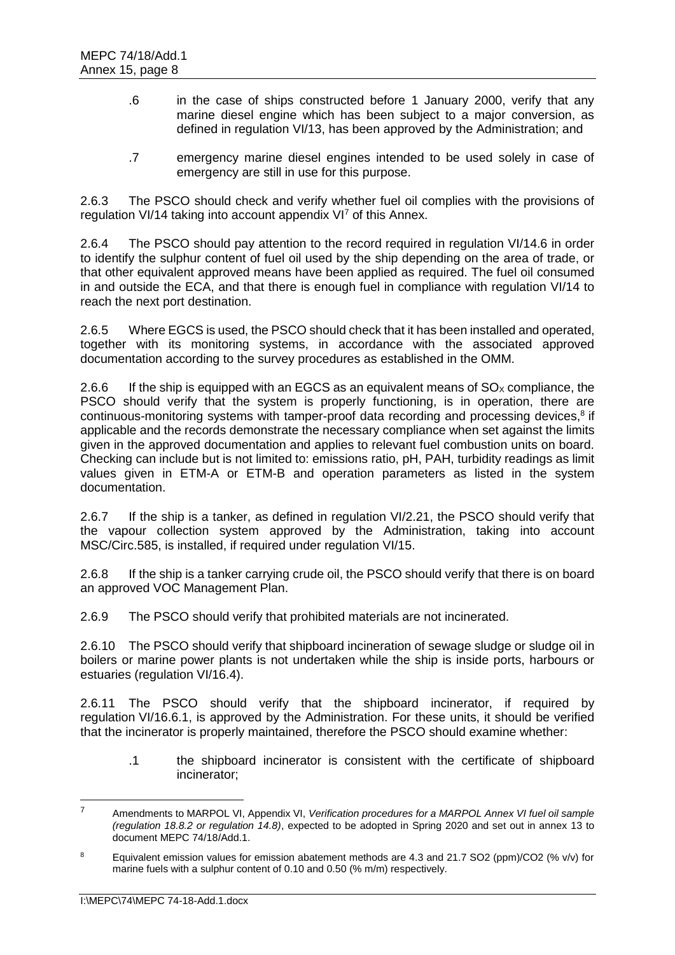- .6 in the case of ships constructed before 1 January 2000, verify that any marine diesel engine which has been subject to a major conversion, as defined in regulation VI/13, has been approved by the Administration; and
- .7 emergency marine diesel engines intended to be used solely in case of emergency are still in use for this purpose.

2.6.3 The PSCO should check and verify whether fuel oil complies with the provisions of regulation VI/14 taking into account appendix VI<sup>7</sup> of this Annex.

2.6.4 The PSCO should pay attention to the record required in regulation VI/14.6 in order to identify the sulphur content of fuel oil used by the ship depending on the area of trade, or that other equivalent approved means have been applied as required. The fuel oil consumed in and outside the ECA, and that there is enough fuel in compliance with regulation VI/14 to reach the next port destination.

2.6.5 Where EGCS is used, the PSCO should check that it has been installed and operated, together with its monitoring systems, in accordance with the associated approved documentation according to the survey procedures as established in the OMM.

2.6.6 If the ship is equipped with an EGCS as an equivalent means of  $SO<sub>x</sub>$  compliance, the PSCO should verify that the system is properly functioning, is in operation, there are continuous-monitoring systems with tamper-proof data recording and processing devices, $8$  if applicable and the records demonstrate the necessary compliance when set against the limits given in the approved documentation and applies to relevant fuel combustion units on board. Checking can include but is not limited to: emissions ratio, pH, PAH, turbidity readings as limit values given in ETM-A or ETM-B and operation parameters as listed in the system documentation.

2.6.7 If the ship is a tanker, as defined in regulation VI/2.21, the PSCO should verify that the vapour collection system approved by the Administration, taking into account MSC/Circ.585, is installed, if required under regulation VI/15.

2.6.8 If the ship is a tanker carrying crude oil, the PSCO should verify that there is on board an approved VOC Management Plan.

2.6.9 The PSCO should verify that prohibited materials are not incinerated.

2.6.10 The PSCO should verify that shipboard incineration of sewage sludge or sludge oil in boilers or marine power plants is not undertaken while the ship is inside ports, harbours or estuaries (regulation VI/16.4).

2.6.11 The PSCO should verify that the shipboard incinerator, if required by regulation VI/16.6.1, is approved by the Administration. For these units, it should be verified that the incinerator is properly maintained, therefore the PSCO should examine whether:

.1 the shipboard incinerator is consistent with the certificate of shipboard incinerator;

<sup>7</sup> Amendments to MARPOL VI, Appendix VI, *Verification procedures for a MARPOL Annex VI fuel oil sample (regulation 18.8.2 or regulation 14.8)*, expected to be adopted in Spring 2020 and set out in annex 13 to document MEPC 74/18/Add.1.

<sup>&</sup>lt;sup>8</sup> Equivalent emission values for emission abatement methods are 4.3 and 21.7 SO2 (ppm)/CO2 (% v/v) for marine fuels with a sulphur content of 0.10 and 0.50 (% m/m) respectively.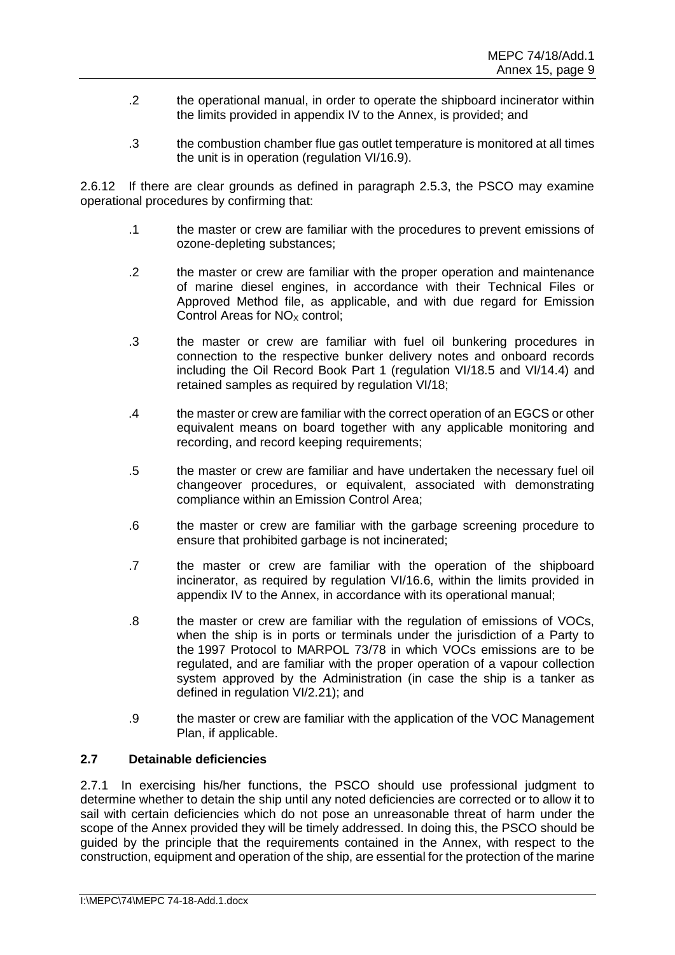- .2 the operational manual, in order to operate the shipboard incinerator within the limits provided in appendix IV to the Annex, is provided; and
- .3 the combustion chamber flue gas outlet temperature is monitored at all times the unit is in operation (regulation VI/16.9).

2.6.12 If there are clear grounds as defined in paragraph 2.5.3, the PSCO may examine operational procedures by confirming that:

- .1 the master or crew are familiar with the procedures to prevent emissions of ozone-depleting substances;
- .2 the master or crew are familiar with the proper operation and maintenance of marine diesel engines, in accordance with their Technical Files or Approved Method file, as applicable, and with due regard for Emission Control Areas for  $NO<sub>x</sub>$  control;
- .3 the master or crew are familiar with fuel oil bunkering procedures in connection to the respective bunker delivery notes and onboard records including the Oil Record Book Part 1 (regulation VI/18.5 and VI/14.4) and retained samples as required by regulation VI/18;
- .4 the master or crew are familiar with the correct operation of an EGCS or other equivalent means on board together with any applicable monitoring and recording, and record keeping requirements;
- .5 the master or crew are familiar and have undertaken the necessary fuel oil changeover procedures, or equivalent, associated with demonstrating compliance within an Emission Control Area;
- .6 the master or crew are familiar with the garbage screening procedure to ensure that prohibited garbage is not incinerated;
- .7 the master or crew are familiar with the operation of the shipboard incinerator, as required by regulation VI/16.6, within the limits provided in appendix IV to the Annex, in accordance with its operational manual;
- .8 the master or crew are familiar with the regulation of emissions of VOCs, when the ship is in ports or terminals under the jurisdiction of a Party to the 1997 Protocol to MARPOL 73/78 in which VOCs emissions are to be regulated, and are familiar with the proper operation of a vapour collection system approved by the Administration (in case the ship is a tanker as defined in regulation VI/2.21); and
- .9 the master or crew are familiar with the application of the VOC Management Plan, if applicable.

# **2.7 Detainable deficiencies**

2.7.1 In exercising his/her functions, the PSCO should use professional judgment to determine whether to detain the ship until any noted deficiencies are corrected or to allow it to sail with certain deficiencies which do not pose an unreasonable threat of harm under the scope of the Annex provided they will be timely addressed. In doing this, the PSCO should be guided by the principle that the requirements contained in the Annex, with respect to the construction, equipment and operation of the ship, are essential for the protection of the marine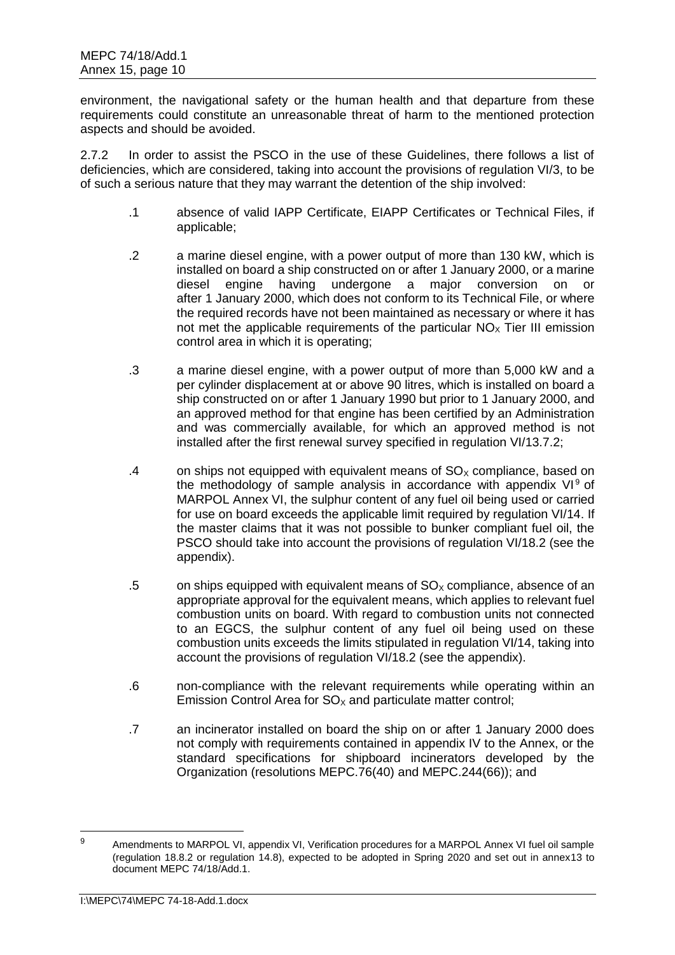environment, the navigational safety or the human health and that departure from these requirements could constitute an unreasonable threat of harm to the mentioned protection aspects and should be avoided.

2.7.2 In order to assist the PSCO in the use of these Guidelines, there follows a list of deficiencies, which are considered, taking into account the provisions of regulation VI/3, to be of such a serious nature that they may warrant the detention of the ship involved:

- .1 absence of valid IAPP Certificate, EIAPP Certificates or Technical Files, if applicable;
- .2 a marine diesel engine, with a power output of more than 130 kW, which is installed on board a ship constructed on or after 1 January 2000, or a marine diesel engine having undergone a major conversion on or after 1 January 2000, which does not conform to its Technical File, or where the required records have not been maintained as necessary or where it has not met the applicable requirements of the particular  $NO<sub>x</sub>$  Tier III emission control area in which it is operating;
- .3 a marine diesel engine, with a power output of more than 5,000 kW and a per cylinder displacement at or above 90 litres, which is installed on board a ship constructed on or after 1 January 1990 but prior to 1 January 2000, and an approved method for that engine has been certified by an Administration and was commercially available, for which an approved method is not installed after the first renewal survey specified in regulation VI/13.7.2;
- .4 on ships not equipped with equivalent means of  $SO<sub>x</sub>$  compliance, based on the methodology of sample analysis in accordance with appendix  $VI<sup>9</sup>$  of MARPOL Annex VI, the sulphur content of any fuel oil being used or carried for use on board exceeds the applicable limit required by regulation VI/14. If the master claims that it was not possible to bunker compliant fuel oil, the PSCO should take into account the provisions of regulation VI/18.2 (see the appendix).
- .5 on ships equipped with equivalent means of  $SO<sub>x</sub>$  compliance, absence of an appropriate approval for the equivalent means, which applies to relevant fuel combustion units on board. With regard to combustion units not connected to an EGCS, the sulphur content of any fuel oil being used on these combustion units exceeds the limits stipulated in regulation VI/14, taking into account the provisions of regulation VI/18.2 (see the appendix).
- .6 non-compliance with the relevant requirements while operating within an Emission Control Area for  $SO<sub>X</sub>$  and particulate matter control;
- .7 an incinerator installed on board the ship on or after 1 January 2000 does not comply with requirements contained in appendix IV to the Annex, or the standard specifications for shipboard incinerators developed by the Organization (resolutions MEPC.76(40) and MEPC.244(66)); and

 $\alpha$ Amendments to MARPOL VI, appendix VI, Verification procedures for a MARPOL Annex VI fuel oil sample (regulation 18.8.2 or regulation 14.8), expected to be adopted in Spring 2020 and set out in annex13 to document MEPC 74/18/Add.1.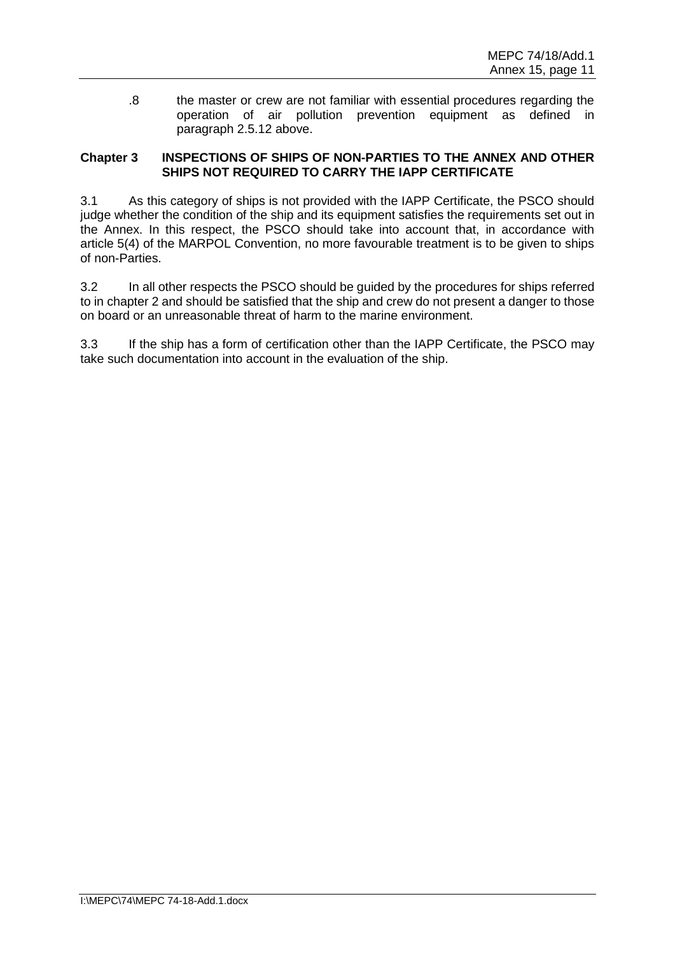.8 the master or crew are not familiar with essential procedures regarding the operation of air pollution prevention equipment as defined in paragraph 2.5.12 above.

## **Chapter 3 INSPECTIONS OF SHIPS OF NON-PARTIES TO THE ANNEX AND OTHER SHIPS NOT REQUIRED TO CARRY THE IAPP CERTIFICATE**

3.1 As this category of ships is not provided with the IAPP Certificate, the PSCO should judge whether the condition of the ship and its equipment satisfies the requirements set out in the Annex. In this respect, the PSCO should take into account that, in accordance with article 5(4) of the MARPOL Convention, no more favourable treatment is to be given to ships of non-Parties.

3.2 In all other respects the PSCO should be guided by the procedures for ships referred to in chapter 2 and should be satisfied that the ship and crew do not present a danger to those on board or an unreasonable threat of harm to the marine environment.

3.3 If the ship has a form of certification other than the IAPP Certificate, the PSCO may take such documentation into account in the evaluation of the ship.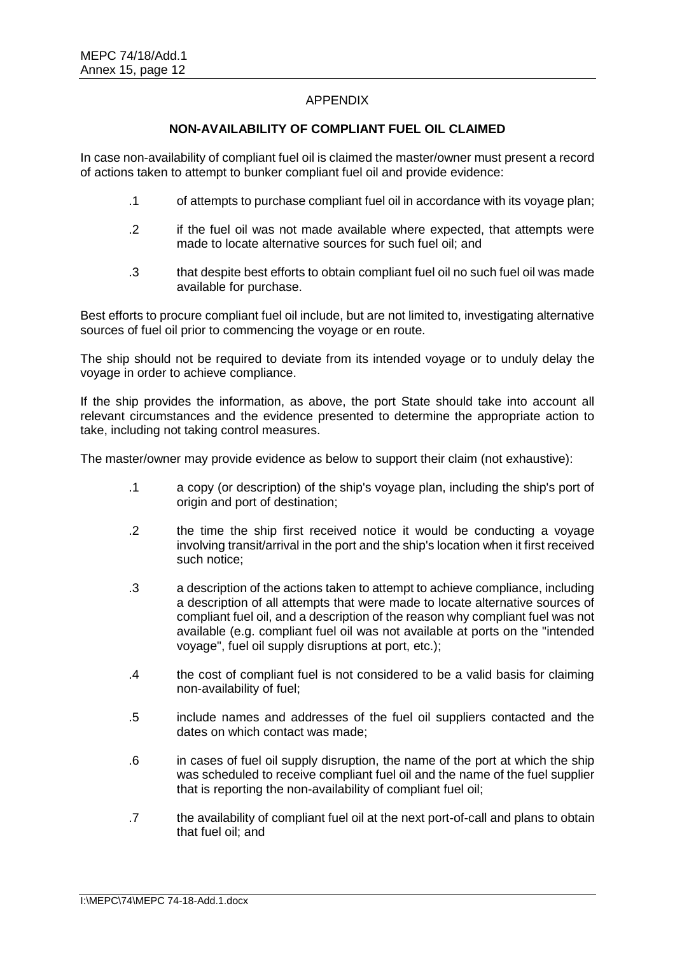## APPENDIX

### **NON-AVAILABILITY OF COMPLIANT FUEL OIL CLAIMED**

In case non-availability of compliant fuel oil is claimed the master/owner must present a record of actions taken to attempt to bunker compliant fuel oil and provide evidence:

- .1 of attempts to purchase compliant fuel oil in accordance with its voyage plan;
- .2 if the fuel oil was not made available where expected, that attempts were made to locate alternative sources for such fuel oil; and
- .3 that despite best efforts to obtain compliant fuel oil no such fuel oil was made available for purchase.

Best efforts to procure compliant fuel oil include, but are not limited to, investigating alternative sources of fuel oil prior to commencing the voyage or en route.

The ship should not be required to deviate from its intended voyage or to unduly delay the voyage in order to achieve compliance.

If the ship provides the information, as above, the port State should take into account all relevant circumstances and the evidence presented to determine the appropriate action to take, including not taking control measures.

The master/owner may provide evidence as below to support their claim (not exhaustive):

- .1 a copy (or description) of the ship's voyage plan, including the ship's port of origin and port of destination;
- .2 the time the ship first received notice it would be conducting a voyage involving transit/arrival in the port and the ship's location when it first received such notice;
- .3 a description of the actions taken to attempt to achieve compliance, including a description of all attempts that were made to locate alternative sources of compliant fuel oil, and a description of the reason why compliant fuel was not available (e.g. compliant fuel oil was not available at ports on the "intended voyage", fuel oil supply disruptions at port, etc.);
- .4 the cost of compliant fuel is not considered to be a valid basis for claiming non-availability of fuel;
- .5 include names and addresses of the fuel oil suppliers contacted and the dates on which contact was made;
- .6 in cases of fuel oil supply disruption, the name of the port at which the ship was scheduled to receive compliant fuel oil and the name of the fuel supplier that is reporting the non-availability of compliant fuel oil;
- .7 the availability of compliant fuel oil at the next port-of-call and plans to obtain that fuel oil; and